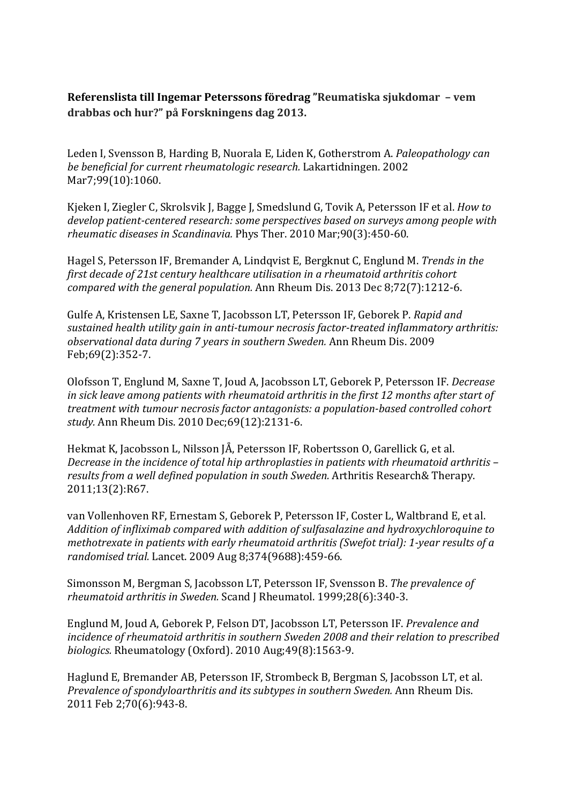**Referenslista till Ingemar Peterssons föredrag "Reumatiska sjukdomar – vem drabbas och hur?" på Forskningens dag 2013.**

Leden I, Svensson B, Harding B, Nuorala E, Liden K, Gotherstrom A. *Paleopathology can be beneficial for current rheumatologic research.* Lakartidningen. 2002 Mar7;99(10):1060.

Kjeken I, Ziegler C, Skrolsvik J, Bagge J, Smedslund G, Tovik A, Petersson IF et al. *How to develop patient-centered research: some perspectives based on surveys among people with rheumatic diseases in Scandinavia. Phys Ther.* 2010 Mar;90(3):450-60.

Hagel S, Petersson IF, Bremander A, Lindqvist E, Bergknut C, Englund M. *Trends in the first decade of 21st century healthcare utilisation in a rheumatoid arthritis cohort compared with the general population.* Ann Rheum Dis. 2013 Dec 8:72(7):1212-6.

Gulfe A, Kristensen LE, Saxne T, Jacobsson LT, Petersson IF, Geborek P. *Rapid and* sustained health utility gain in anti-tumour necrosis factor-treated inflammatory arthritis: *observational data during 7 years in southern Sweden.* Ann Rheum Dis. 2009 Feb;69(2):352-7.

Olofsson T, Englund M, Saxne T, Joud A, Jacobsson LT, Geborek P, Petersson IF. *Decrease* in sick leave among patients with rheumatoid arthritis in the first 12 months after start of *treatment with tumour necrosis factor antagonists: a population-based controlled cohort study.* Ann Rheum Dis. 2010 Dec;69(12):2131-6.

Hekmat K, Jacobsson L, Nilsson JÅ, Petersson IF, Robertsson O, Garellick G, et al. *Decrease in the incidence of total hip arthroplasties in patients with rheumatoid arthritis* – results from a well defined population in south Sweden. Arthritis Research& Therapy. 2011;13(2):R67.

van Vollenhoven RF, Ernestam S, Geborek P, Petersson IF, Coster L, Waltbrand E, et al. Addition of *infliximab* compared with addition of sulfasalazine and hydroxychloroquine to *methotrexate in patients with early rheumatoid arthritis (Swefot trial): 1-year results of a randomised trial.* Lancet. 2009 Aug 8;374(9688):459-66.

Simonsson M, Bergman S, Jacobsson LT, Petersson IF, Svensson B. *The prevalence of rheumatoid arthritis in Sweden.* Scand J Rheumatol. 1999;28(6):340-3.

Englund M, Joud A, Geborek P, Felson DT, Jacobsson LT, Petersson IF, *Prevalence and incidence of rheumatoid arthritis in southern Sweden 2008 and their relation to prescribed biologics.* Rheumatology (Oxford). 2010 Aug;49(8):1563-9.

Haglund E, Bremander AB, Petersson IF, Strombeck B, Bergman S, Jacobsson LT, et al. *Prevalence of spondyloarthritis and its subtypes in southern Sweden.* Ann Rheum Dis. 2011 Feb 2;70(6):943-8.